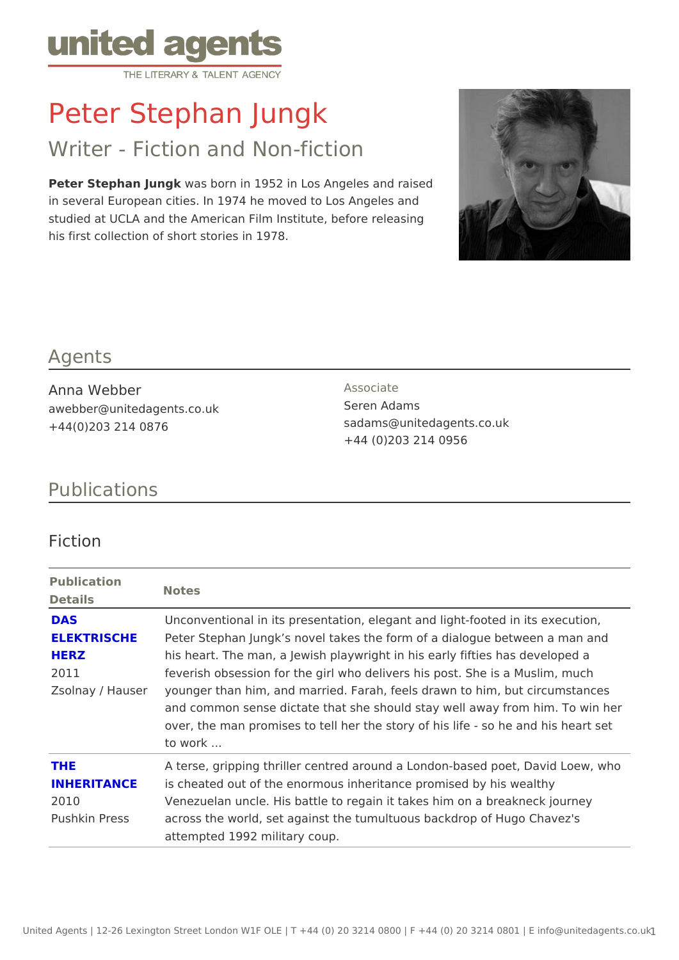# Peter Stephan Jungk

# Writer - Fiction and Non-fiction

Peter Stephan Juwas born in 1952 in Los Angeles and raised in several European cities. In 1974 he moved to Los Angeles and studied at UCLA and the American Film Institute, before releasing his first collection of short stories in 1978.

#### Agents

Anna Webber awebber@unitedagents.co.uk +44(0)203 214 0876

Associate Seren Adams sadams@unitedagents.co.uk +44 (0)203 214 0956

## Publications

#### Fiction

| Publication<br>Details | Notes                                                                       |
|------------------------|-----------------------------------------------------------------------------|
| DAS                    | Unconventional in its presentation, elegant and light-footed in             |
|                        | ELEKTRISCHEPeter Stephan Jungk s novel takes the form of a dialogue betw    |
| HERZ                   | his heart. The man, a Jewish playwright in his early fifties has            |
| 2011                   | feverish obsession for the girl who delivers his post. She is a             |
|                        | Zsolnay / Hausyomnger than him, and married. Farah, feels drawn to him, but |
|                        | and common sense dictate that she should stay well away from                |
|                        | over, the man promises to tell her the story of his life - so he            |
|                        | to work                                                                     |
| THE                    | A terse, gripping thriller centred around a London-based poet,              |
|                        | INHERITANCE is cheated out of the enormous inheritance promised by his wet  |
| 2010                   | Venezuelan uncle. His battle to regain it takes him on a breakn             |
|                        | Pushkin Pressacross the world, set against the tumultuous backdrop of Hugo  |
|                        | attempted 1992 military coup.                                               |